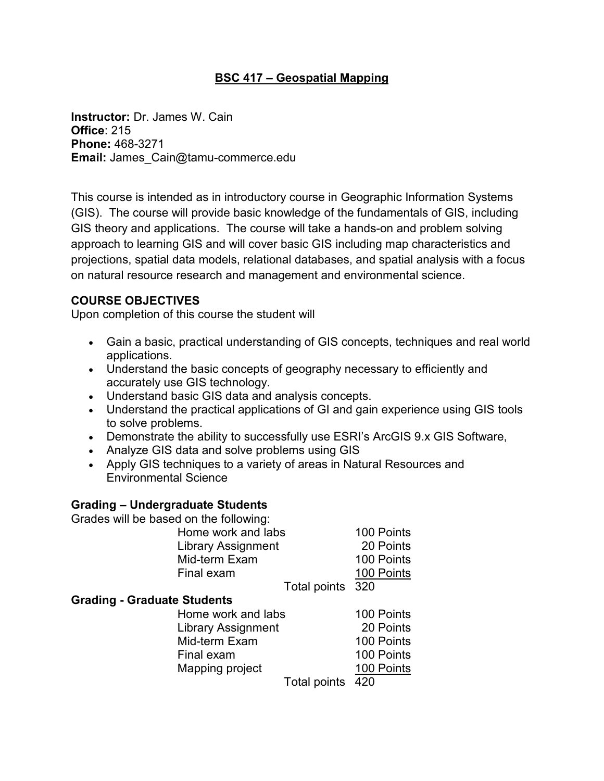### **BSC 417 – Geospatial Mapping**

**Instructor:** Dr. James W. Cain **Office**: 215 **Phone:** 468-3271 **Email:** James\_Cain@tamu-commerce.edu

This course is intended as in introductory course in Geographic Information Systems (GIS). The course will provide basic knowledge of the fundamentals of GIS, including GIS theory and applications. The course will take a hands-on and problem solving approach to learning GIS and will cover basic GIS including map characteristics and projections, spatial data models, relational databases, and spatial analysis with a focus on natural resource research and management and environmental science.

#### **COURSE OBJECTIVES**

Upon completion of this course the student will

- Gain a basic, practical understanding of GIS concepts, techniques and real world applications.
- Understand the basic concepts of geography necessary to efficiently and accurately use GIS technology.
- Understand basic GIS data and analysis concepts.
- Understand the practical applications of GI and gain experience using GIS tools to solve problems.
- Demonstrate the ability to successfully use ESRI's ArcGIS 9.x GIS Software,
- Analyze GIS data and solve problems using GIS
- Apply GIS techniques to a variety of areas in Natural Resources and Environmental Science

#### **Grading – Undergraduate Students**

Grades will be based on the following:

| Home work and labs        | 100 Points |
|---------------------------|------------|
| <b>Library Assignment</b> | 20 Points  |
| Mid-term Exam             | 100 Points |
| Final exam                | 100 Points |
| $T = 1 - 1$ , $T = 1 - 1$ | nnn.       |

Total points 320

#### **Grading - Graduate Students**

| Home work and labs        | 100 Points |
|---------------------------|------------|
| <b>Library Assignment</b> | 20 Points  |
| Mid-term Exam             | 100 Points |
| Final exam                | 100 Points |
| Mapping project           | 100 Points |
| Total points 420          |            |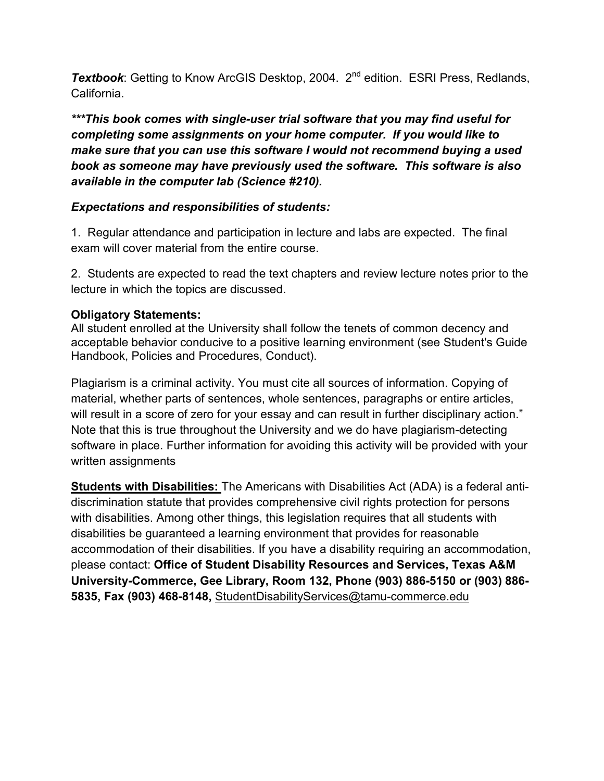**Textbook:** Getting to Know ArcGIS Desktop, 2004. 2<sup>nd</sup> edition. ESRI Press, Redlands, California.

*\*\*\*This book comes with single-user trial software that you may find useful for completing some assignments on your home computer. If you would like to make sure that you can use this software I would not recommend buying a used book as someone may have previously used the software. This software is also available in the computer lab (Science #210).* 

## *Expectations and responsibilities of students:*

1. Regular attendance and participation in lecture and labs are expected. The final exam will cover material from the entire course.

2. Students are expected to read the text chapters and review lecture notes prior to the lecture in which the topics are discussed.

## **Obligatory Statements:**

All student enrolled at the University shall follow the tenets of common decency and acceptable behavior conducive to a positive learning environment (see Student's Guide Handbook, Policies and Procedures, Conduct).

Plagiarism is a criminal activity. You must cite all sources of information. Copying of material, whether parts of sentences, whole sentences, paragraphs or entire articles, will result in a score of zero for your essay and can result in further disciplinary action." Note that this is true throughout the University and we do have plagiarism-detecting software in place. Further information for avoiding this activity will be provided with your written assignments

**Students with Disabilities:** The Americans with Disabilities Act (ADA) is a federal antidiscrimination statute that provides comprehensive civil rights protection for persons with disabilities. Among other things, this legislation requires that all students with disabilities be guaranteed a learning environment that provides for reasonable accommodation of their disabilities. If you have a disability requiring an accommodation, please contact: **Office of Student Disability Resources and Services, Texas A&M University-Commerce, Gee Library, Room 132, Phone (903) 886-5150 or (903) 886- 5835, Fax (903) 468-8148,** StudentDisabilityServices@tamu-commerce.edu